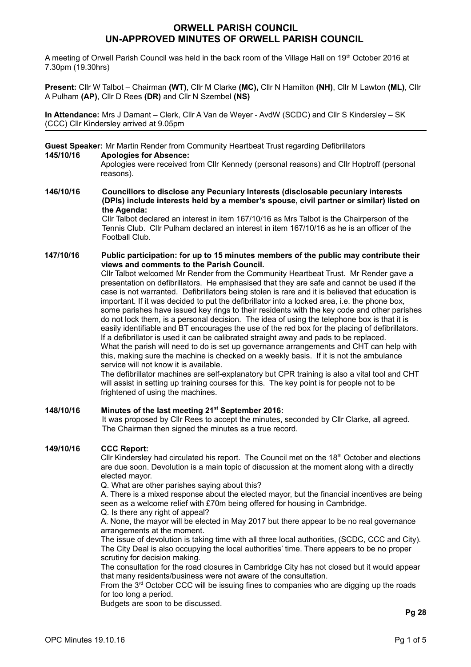# **ORWELL PARISH COUNCIL UN-APPROVED MINUTES OF ORWELL PARISH COUNCIL**

A meeting of Orwell Parish Council was held in the back room of the Village Hall on 19th October 2016 at 7.30pm (19.30hrs)

**Present:** Cllr W Talbot – Chairman **(WT)**, Cllr M Clarke **(MC),** Cllr N Hamilton **(NH)**, Cllr M Lawton **(ML)**, Cllr A Pulham **(AP)**, Cllr D Rees **(DR)** and Cllr N Szembel **(NS)**

**In Attendance:** Mrs J Damant – Clerk, Cllr A Van de Weyer - AvdW (SCDC) and Cllr S Kindersley – SK (CCC) Cllr Kindersley arrived at 9.05pm

**Guest Speaker:** Mr Martin Render from Community Heartbeat Trust regarding Defibrillators

#### **145/10/16 Apologies for Absence:**

Apologies were received from Cllr Kennedy (personal reasons) and Cllr Hoptroff (personal reasons).

**146/10/16 Councillors to disclose any Pecuniary Interests (disclosable pecuniary interests (DPIs) include interests held by a member's spouse, civil partner or similar) listed on the Agenda:**

Cllr Talbot declared an interest in item 167/10/16 as Mrs Talbot is the Chairperson of the Tennis Club. Cllr Pulham declared an interest in item 167/10/16 as he is an officer of the Football Club.

#### **147/10/16 Public participation: for up to 15 minutes members of the public may contribute their views and comments to the Parish Council.**

Cllr Talbot welcomed Mr Render from the Community Heartbeat Trust. Mr Render gave a presentation on defibrillators. He emphasised that they are safe and cannot be used if the case is not warranted. Defibrillators being stolen is rare and it is believed that education is important. If it was decided to put the defibrillator into a locked area, i.e. the phone box, some parishes have issued key rings to their residents with the key code and other parishes do not lock them, is a personal decision. The idea of using the telephone box is that it is easily identifiable and BT encourages the use of the red box for the placing of defibrillators. If a defibrillator is used it can be calibrated straight away and pads to be replaced. What the parish will need to do is set up governance arrangements and CHT can help with this, making sure the machine is checked on a weekly basis. If it is not the ambulance service will not know it is available.

The defibrillator machines are self-explanatory but CPR training is also a vital tool and CHT will assist in setting up training courses for this. The key point is for people not to be frightened of using the machines.

**148/10/16 Minutes of the last meeting 21st September 2016:**  It was proposed by Cllr Rees to accept the minutes, seconded by Cllr Clarke, all agreed. The Chairman then signed the minutes as a true record.

# **149/10/16 CCC Report:**

Cllr Kindersley had circulated his report. The Council met on the  $18<sup>th</sup>$  October and elections are due soon. Devolution is a main topic of discussion at the moment along with a directly elected mayor.

Q. What are other parishes saying about this?

A. There is a mixed response about the elected mayor, but the financial incentives are being seen as a welcome relief with £70m being offered for housing in Cambridge. Q. Is there any right of appeal?

A. None, the mayor will be elected in May 2017 but there appear to be no real governance arrangements at the moment.

The issue of devolution is taking time with all three local authorities, (SCDC, CCC and City). The City Deal is also occupying the local authorities' time. There appears to be no proper scrutiny for decision making.

The consultation for the road closures in Cambridge City has not closed but it would appear that many residents/business were not aware of the consultation.

From the 3<sup>rd</sup> October CCC will be issuing fines to companies who are digging up the roads for too long a period.

Budgets are soon to be discussed.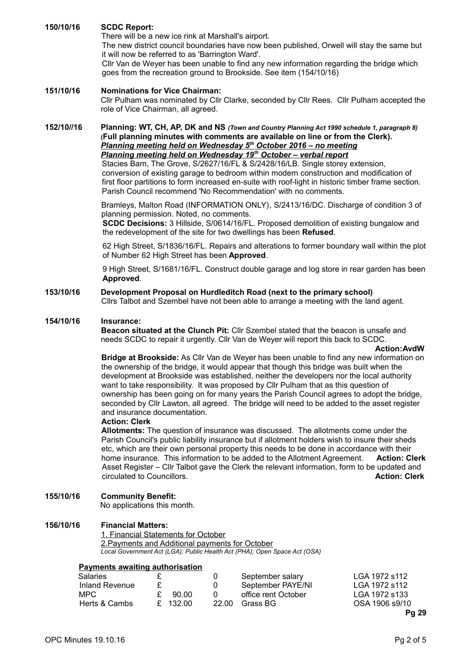**150/10/16 SCDC Report:**  There will be a new ice rink at Marshall's airport. The new district council boundaries have now been published, Orwell will stay the same but it will now be referred to as 'Barrington Ward'. Cllr Van de Weyer has been unable to find any new information regarding the bridge which

goes from the recreation ground to Brookside. See item (154/10/16)

#### **151/10/16 Nominations for Vice Chairman:**

Cllr Pulham was nominated by Cllr Clarke, seconded by Cllr Rees. Cllr Pulham accepted the role of Vice Chairman, all agreed.

#### **152/10//16 Planning: WT, CH, AP, DK and NS** *(Town and Country Planning Act 1990 schedule 1, paragraph 8)* **(Full planning minutes with comments are available on line or from the Clerk).**   *Planning meeting held on Wednesday 5th October 2016 – no meeting Planning meeting held on Wednesday 19th October – verbal report*

Stacies Barn, The Grove, S/2627/16/FL & S/2428/16/LB. Single storey extension, conversion of existing garage to bedroom within modern construction and modification of first floor partitions to form increased en-suite with roof-light in historic timber frame section. Parish Council recommend 'No Recommendation' with no comments.

Bramleys, Malton Road (INFORMATION ONLY), S/2413/16/DC. Discharge of condition 3 of planning permission. Noted, no comments.

**SCDC Decisions:** 3 Hillside, S/0614/16/FL. Proposed demolition of existing bungalow and the redevelopment of the site for two dwellings has been **Refused**.

62 High Street, S/1836/16/FL. Repairs and alterations to former boundary wall within the plot of Number 62 High Street has been **Approved**.

9 High Street, S/1681/16/FL. Construct double garage and log store in rear garden has been **Approved**.

# **153/10/16 Development Proposal on Hurdleditch Road (next to the primary school)**

Cllrs Talbot and Szembel have not been able to arrange a meeting with the land agent.

#### **154/10/16 Insurance:**

**Beacon situated at the Clunch Pit:** Cllr Szembel stated that the beacon is unsafe and needs SCDC to repair it urgently. Cllr Van de Weyer will report this back to SCDC.

#### **Action:AvdW**

**Bridge at Brookside:** As Cllr Van de Weyer has been unable to find any new information on the ownership of the bridge, it would appear that though this bridge was built when the development at Brookside was established, neither the developers nor the local authority want to take responsibility. It was proposed by Cllr Pulham that as this question of ownership has been going on for many years the Parish Council agrees to adopt the bridge, seconded by Cllr Lawton, all agreed. The bridge will need to be added to the asset register and insurance documentation.

### **Action: Clerk**

**Allotments:** The question of insurance was discussed. The allotments come under the Parish Council's public liability insurance but if allotment holders wish to insure their sheds etc, which are their own personal property this needs to be done in accordance with their home insurance. This information to be added to the Allotment Agreement. **Action: Clerk** Asset Register – Cllr Talbot gave the Clerk the relevant information, form to be updated and circulated to Councillors. **Action: Clerk**

#### **155/10/16 Community Benefit:**

No applications this month.

#### **156/10/16 Financial Matters:**

1. Financial Statements for October 2.Payments and Additional payments for October *Local Government Act (LGA); Public Health Act (PHA); Open Space Act (OSA)*

#### **Payments awaiting authorisation**

| Salaries       |          |          | September salary    | LGA 1972 s112  |
|----------------|----------|----------|---------------------|----------------|
| Inland Revenue |          |          | September PAYE/NI   | LGA 1972 s112  |
| MPC.           | £ 90.00  | $\Omega$ | office rent October | LGA 1972 s133  |
| Herts & Cambs  | £ 132.00 | 22.00    | Grass BG            | OSA 1906 s9/10 |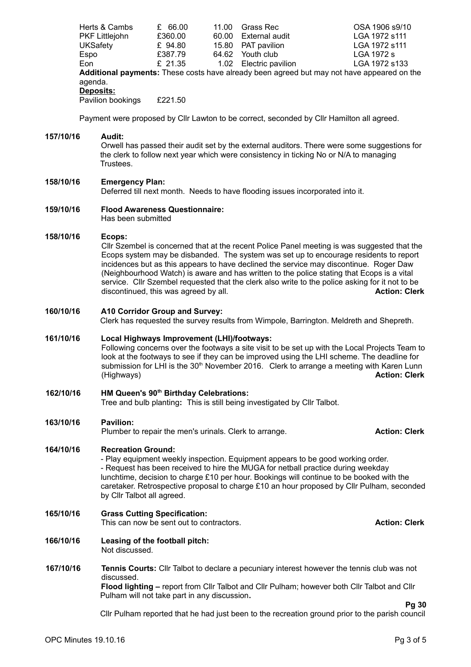| Herts & Cambs         | £ 66.00 | 11.00 | Grass Rec              | OSA 1906 s9/10                                                                             |
|-----------------------|---------|-------|------------------------|--------------------------------------------------------------------------------------------|
| <b>PKF Littlejohn</b> | £360.00 | 60.00 | External audit         | LGA 1972 s111                                                                              |
| <b>UKSafety</b>       | £ 94.80 | 15.80 | PAT pavilion           | LGA 1972 s111                                                                              |
| Espo                  | £387.79 | 64.62 | Youth club             | LGA 1972 s                                                                                 |
| Eon                   | £ 21.35 |       | 1.02 Electric pavilion | LGA 1972 s133                                                                              |
|                       |         |       |                        | Additional payments: These costs have already been agreed but may not have appeared on the |
| agenda.               |         |       |                        |                                                                                            |
| Deposits:             |         |       |                        |                                                                                            |
| Pavilion bookings     | £221.50 |       |                        |                                                                                            |
|                       |         |       |                        |                                                                                            |

Payment were proposed by Cllr Lawton to be correct, seconded by Cllr Hamilton all agreed.

#### **157/10/16 Audit:**

Orwell has passed their audit set by the external auditors. There were some suggestions for the clerk to follow next year which were consistency in ticking No or N/A to managing **Trustees** 

#### **158/10/16 Emergency Plan:**

Deferred till next month. Needs to have flooding issues incorporated into it.

**159/10/16 Flood Awareness Questionnaire:**

Has been submitted

## **158/10/16 Ecops:**

Cllr Szembel is concerned that at the recent Police Panel meeting is was suggested that the Ecops system may be disbanded. The system was set up to encourage residents to report incidences but as this appears to have declined the service may discontinue. Roger Daw (Neighbourhood Watch) is aware and has written to the police stating that Ecops is a vital service. Cllr Szembel requested that the clerk also write to the police asking for it not to be discontinued, this was agreed by all. **Action: Clerk**

#### **160/10/16 A10 Corridor Group and Survey:**

Clerk has requested the survey results from Wimpole, Barrington. Meldreth and Shepreth.

#### **161/10/16 Local Highways Improvement (LHI)/footways:**

Following concerns over the footways a site visit to be set up with the Local Projects Team to look at the footways to see if they can be improved using the LHI scheme. The deadline for submission for LHI is the 30<sup>th</sup> November 2016. Clerk to arrange a meeting with Karen Lunn (Highways) **Action: Clerk**

#### **162/10/16 HM Queen's 90th Birthday Celebrations:**

Tree and bulb planting**:** This is still being investigated by Cllr Talbot.

#### **163/10/16 Pavilion:**

Plumber to repair the men's urinals. Clerk to arrange. **Action: Clerk**

#### **164/10/16 Recreation Ground:**

- Play equipment weekly inspection. Equipment appears to be good working order. - Request has been received to hire the MUGA for netball practice during weekday lunchtime, decision to charge £10 per hour. Bookings will continue to be booked with the caretaker. Retrospective proposal to charge £10 an hour proposed by Cllr Pulham, seconded by Cllr Talbot all agreed.

**165/10/16 Grass Cutting Specification:** This can now be sent out to contractors. **Action: Clerk**

- **166/10/16 Leasing of the football pitch:** Not discussed.
- **167/10/16 Tennis Courts:** Cllr Talbot to declare a pecuniary interest however the tennis club was not discussed.

**Flood lighting –** report from Cllr Talbot and Cllr Pulham; however both Cllr Talbot and Cllr Pulham will not take part in any discussion**.**

**Pg 30**

Cllr Pulham reported that he had just been to the recreation ground prior to the parish council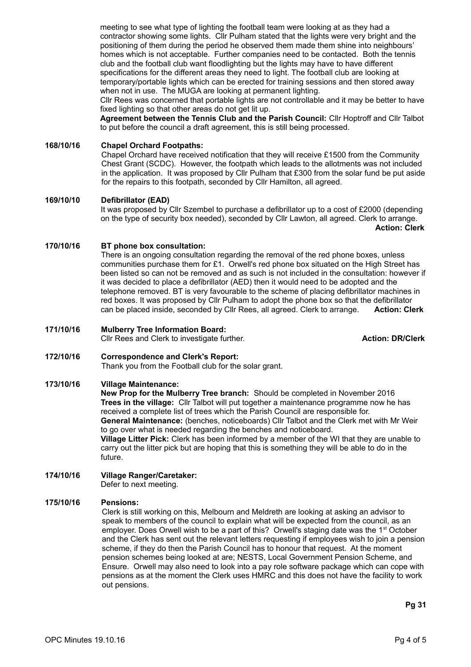meeting to see what type of lighting the football team were looking at as they had a contractor showing some lights. Cllr Pulham stated that the lights were very bright and the positioning of them during the period he observed them made them shine into neighbours' homes which is not acceptable. Further companies need to be contacted. Both the tennis club and the football club want floodlighting but the lights may have to have different specifications for the different areas they need to light. The football club are looking at temporary/portable lights which can be erected for training sessions and then stored away when not in use. The MUGA are looking at permanent lighting.

Cllr Rees was concerned that portable lights are not controllable and it may be better to have fixed lighting so that other areas do not get lit up.

**Agreement between the Tennis Club and the Parish Council:** Cllr Hoptroff and Cllr Talbot to put before the council a draft agreement, this is still being processed.

#### **168/10/16 Chapel Orchard Footpaths:**

Chapel Orchard have received notification that they will receive £1500 from the Community Chest Grant (SCDC). However, the footpath which leads to the allotments was not included in the application. It was proposed by Cllr Pulham that £300 from the solar fund be put aside for the repairs to this footpath, seconded by Cllr Hamilton, all agreed.

#### **169/10/10 Defibrillator (EAD)**

It was proposed by Cllr Szembel to purchase a defibrillator up to a cost of £2000 (depending on the type of security box needed), seconded by Cllr Lawton, all agreed. Clerk to arrange.

 **Action: Clerk**

#### **170/10/16 BT phone box consultation:**

There is an ongoing consultation regarding the removal of the red phone boxes, unless communities purchase them for £1. Orwell's red phone box situated on the High Street has been listed so can not be removed and as such is not included in the consultation: however if it was decided to place a defibrillator (AED) then it would need to be adopted and the telephone removed. BT is very favourable to the scheme of placing defibrillator machines in red boxes. It was proposed by Cllr Pulham to adopt the phone box so that the defibrillator can be placed inside, seconded by Cllr Rees, all agreed. Clerk to arrange. **Action: Clerk**

#### **171/10/16 Mulberry Tree Information Board:**

Cllr Rees and Clerk to investigate further. **Action: DR/Clerk Action: DR/Clerk** 

# **172/10/16 Correspondence and Clerk's Report:**

Thank you from the Football club for the solar grant.

#### **173/10/16 Village Maintenance:**

future.

**New Prop for the Mulberry Tree branch:** Should be completed in November 2016 **Trees in the village:** Cllr Talbot will put together a maintenance programme now he has received a complete list of trees which the Parish Council are responsible for. **General Maintenance:** (benches, noticeboards) Cllr Talbot and the Clerk met with Mr Weir to go over what is needed regarding the benches and noticeboard. **Village Litter Pick:** Clerk has been informed by a member of the WI that they are unable to carry out the litter pick but are hoping that this is something they will be able to do in the

# **174/10/16 Village Ranger/Caretaker:**

Defer to next meeting.

#### **175/10/16 Pensions:**

Clerk is still working on this, Melbourn and Meldreth are looking at asking an advisor to speak to members of the council to explain what will be expected from the council, as an employer. Does Orwell wish to be a part of this? Orwell's staging date was the  $1<sup>st</sup>$  October and the Clerk has sent out the relevant letters requesting if employees wish to join a pension scheme, if they do then the Parish Council has to honour that request. At the moment pension schemes being looked at are; NESTS, Local Government Pension Scheme, and Ensure. Orwell may also need to look into a pay role software package which can cope with pensions as at the moment the Clerk uses HMRC and this does not have the facility to work out pensions.